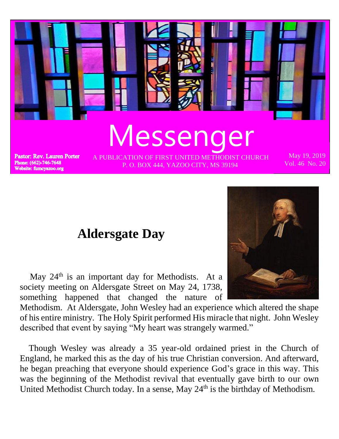

## **Aldersgate Day**

May  $24<sup>th</sup>$  is an important day for Methodists. At a society meeting on Aldersgate Street on May 24, 1738, something happened that changed the nature of

Methodism. At Aldersgate, John Wesley had an experience which altered the shape of his entire ministry. The Holy Spirit performed His miracle that night. John Wesley described that event by saying "My heart was strangely warmed."

 Though Wesley was already a 35 year-old ordained priest in the Church of England, he marked this as the day of his true Christian conversion. And afterward, he began preaching that everyone should experience God's grace in this way. This was the beginning of the Methodist revival that eventually gave birth to our own United Methodist Church today. In a sense, May 24<sup>th</sup> is the birthday of Methodism.

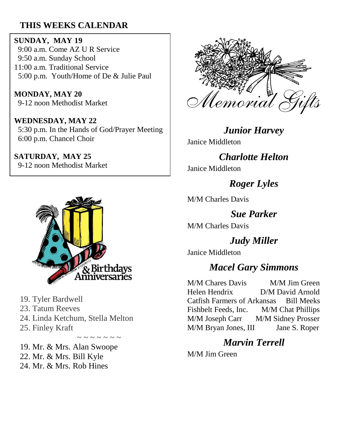### **THIS WEEKS CALENDAR**

**SUNDAY, MAY 19** 9:00 a.m. Come AZ U R Service 9:50 a.m. Sunday School 11:00 a.m. Traditional Service 5:00 p.m. Youth/Home of De & Julie Paul

**MONDAY, MAY 20** 9-12 noon Methodist Market

**WEDNESDAY, MAY 22** 5:30 p.m. In the Hands of God/Prayer Meeting 6:00 p.m. Chancel Choir

**SATURDAY, MAY 25** 9-12 noon Methodist Market



19. Tyler Bardwell

23. Tatum Reeves

24. Linda Ketchum, Stella Melton

 $\sim$  ~ ~ ~ ~ ~

25. Finley Kraft

19. Mr. & Mrs. Alan Swoope 22. Mr. & Mrs. Bill Kyle 24. Mr. & Mrs. Rob Hines



*Junior Harvey* Janice Middleton

*Charlotte Helton*

Janice Middleton

*Roger Lyles*

M/M Charles Davis

*Sue Parker* M/M Charles Davis

*Judy Miller*

Janice Middleton

## *Macel Gary Simmons*

M/M Chares Davis M/M Jim Green Helen Hendrix D/M David Arnold Catfish Farmers of Arkansas Bill Meeks Fishbelt Feeds, Inc. M/M Chat Phillips M/M Joseph Carr M/M Sidney Prosser M/M Bryan Jones, III Jane S. Roper

## *Marvin Terrell*

M/M Jim Green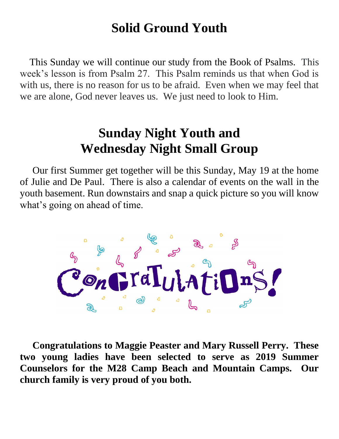# **Solid Ground Youth**

 This Sunday we will continue our study from the Book of Psalms. This week's lesson is from Psalm 27. This Psalm reminds us that when God is with us, there is no reason for us to be afraid. Even when we may feel that we are alone, God never leaves us. We just need to look to Him.

# **Sunday Night Youth and Wednesday Night Small Group**

 Our first Summer get together will be this Sunday, May 19 at the home of Julie and De Paul. There is also a calendar of events on the wall in the youth basement. Run downstairs and snap a quick picture so you will know what's going on ahead of time.



 **Congratulations to Maggie Peaster and Mary Russell Perry. These two young ladies have been selected to serve as 2019 Summer Counselors for the M28 Camp Beach and Mountain Camps. Our church family is very proud of you both.**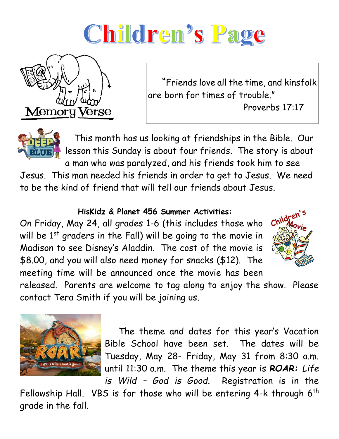# Children's Page



 "Friends love all the time, and kinsfolk are born for times of trouble."

Proverbs 17:17



 This month has us looking at friendships in the Bible. Our lesson this Sunday is about four friends. The story is about a man who was paralyzed, and his friends took him to see

Jesus. This man needed his friends in order to get to Jesus. We need to be the kind of friend that will tell our friends about Jesus.

#### **HisKidz & Planet 456 Summer Activities:**

On Friday, May 24, all grades 1-6 (this includes those who will be  $1<sup>st</sup>$  graders in the Fall) will be going to the movie in Madison to see Disney's Aladdin. The cost of the movie is \$8.00, and you will also need money for snacks (\$12). The meeting time will be announced once the movie has been



released. Parents are welcome to tag along to enjoy the show. Please contact Tera Smith if you will be joining us.



 The theme and dates for this year's Vacation Bible School have been set. The dates will be Tuesday, May 28- Friday, May 31 from 8:30 a.m. until 11:30 a.m. The theme this year is *ROAR: Life is Wild – God is Good.* Registration is in the

Fellowship Hall. VBS is for those who will be entering  $4-k$  through  $6<sup>th</sup>$ grade in the fall.